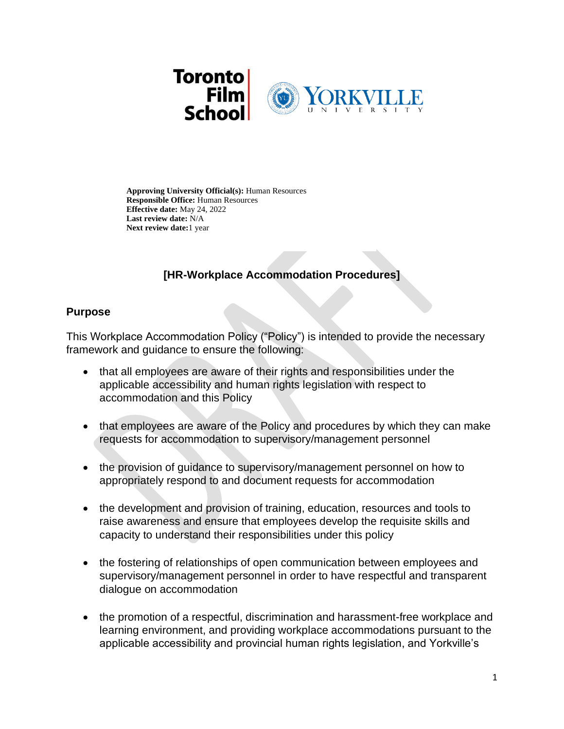

**Approving University Official(s):** Human Resources **Responsible Office:** Human Resources **Effective date:** May 24, 2022 **Last review date:** N/A **Next review date:**1 year

# **[HR-Workplace Accommodation Procedures]**

### **Purpose**

This Workplace Accommodation Policy ("Policy") is intended to provide the necessary framework and guidance to ensure the following:

- that all employees are aware of their rights and responsibilities under the applicable accessibility and human rights legislation with respect to accommodation and this Policy
- that employees are aware of the Policy and procedures by which they can make requests for accommodation to supervisory/management personnel
- the provision of quidance to supervisory/management personnel on how to appropriately respond to and document requests for accommodation
- the development and provision of training, education, resources and tools to raise awareness and ensure that employees develop the requisite skills and capacity to understand their responsibilities under this policy
- the fostering of relationships of open communication between employees and supervisory/management personnel in order to have respectful and transparent dialogue on accommodation
- the promotion of a respectful, discrimination and harassment-free workplace and learning environment, and providing workplace accommodations pursuant to the applicable accessibility and provincial human rights legislation, and Yorkville's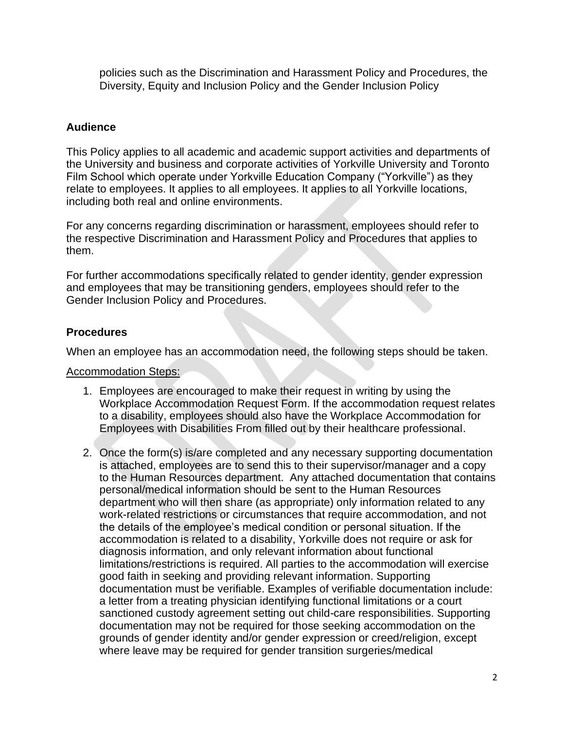policies such as the Discrimination and Harassment Policy and Procedures, the Diversity, Equity and Inclusion Policy and the Gender Inclusion Policy

### **Audience**

This Policy applies to all academic and academic support activities and departments of the University and business and corporate activities of Yorkville University and Toronto Film School which operate under Yorkville Education Company ("Yorkville") as they relate to employees. It applies to all employees. It applies to all Yorkville locations, including both real and online environments.

For any concerns regarding discrimination or harassment, employees should refer to the respective Discrimination and Harassment Policy and Procedures that applies to them.

For further accommodations specifically related to gender identity, gender expression and employees that may be transitioning genders, employees should refer to the Gender Inclusion Policy and Procedures.

# **Procedures**

When an employee has an accommodation need, the following steps should be taken.

### Accommodation Steps:

- 1. Employees are encouraged to make their request in writing by using the Workplace Accommodation Request Form. If the accommodation request relates to a disability, employees should also have the Workplace Accommodation for Employees with Disabilities From filled out by their healthcare professional.
- 2. Once the form(s) is/are completed and any necessary supporting documentation is attached, employees are to send this to their supervisor/manager and a copy to the Human Resources department. Any attached documentation that contains personal/medical information should be sent to the Human Resources department who will then share (as appropriate) only information related to any work-related restrictions or circumstances that require accommodation, and not the details of the employee's medical condition or personal situation. If the accommodation is related to a disability, Yorkville does not require or ask for diagnosis information, and only relevant information about functional limitations/restrictions is required. All parties to the accommodation will exercise good faith in seeking and providing relevant information. Supporting documentation must be verifiable. Examples of verifiable documentation include: a letter from a treating physician identifying functional limitations or a court sanctioned custody agreement setting out child-care responsibilities. Supporting documentation may not be required for those seeking accommodation on the grounds of gender identity and/or gender expression or creed/religion, except where leave may be required for gender transition surgeries/medical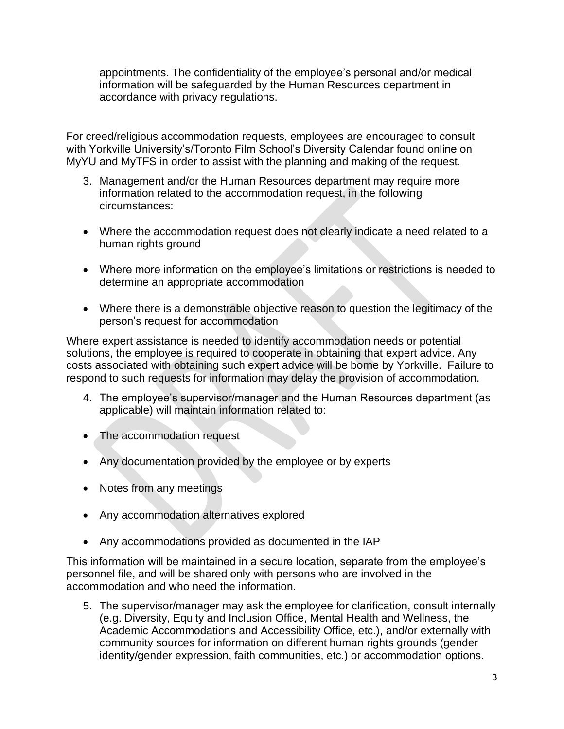appointments. The confidentiality of the employee's personal and/or medical information will be safeguarded by the Human Resources department in accordance with privacy regulations.

For creed/religious accommodation requests, employees are encouraged to consult with Yorkville University's/Toronto Film School's Diversity Calendar found online on MyYU and MyTFS in order to assist with the planning and making of the request.

- 3. Management and/or the Human Resources department may require more information related to the accommodation request, in the following circumstances:
- Where the accommodation request does not clearly indicate a need related to a human rights ground
- Where more information on the employee's limitations or restrictions is needed to determine an appropriate accommodation
- Where there is a demonstrable objective reason to question the legitimacy of the person's request for accommodation

Where expert assistance is needed to identify accommodation needs or potential solutions, the employee is required to cooperate in obtaining that expert advice. Any costs associated with obtaining such expert advice will be borne by Yorkville. Failure to respond to such requests for information may delay the provision of accommodation.

- 4. The employee's supervisor/manager and the Human Resources department (as applicable) will maintain information related to:
- The accommodation request
- Any documentation provided by the employee or by experts
- Notes from any meetings
- Any accommodation alternatives explored
- Any accommodations provided as documented in the IAP

This information will be maintained in a secure location, separate from the employee's personnel file, and will be shared only with persons who are involved in the accommodation and who need the information.

5. The supervisor/manager may ask the employee for clarification, consult internally (e.g. Diversity, Equity and Inclusion Office, Mental Health and Wellness, the Academic Accommodations and Accessibility Office, etc.), and/or externally with community sources for information on different human rights grounds (gender identity/gender expression, faith communities, etc.) or accommodation options.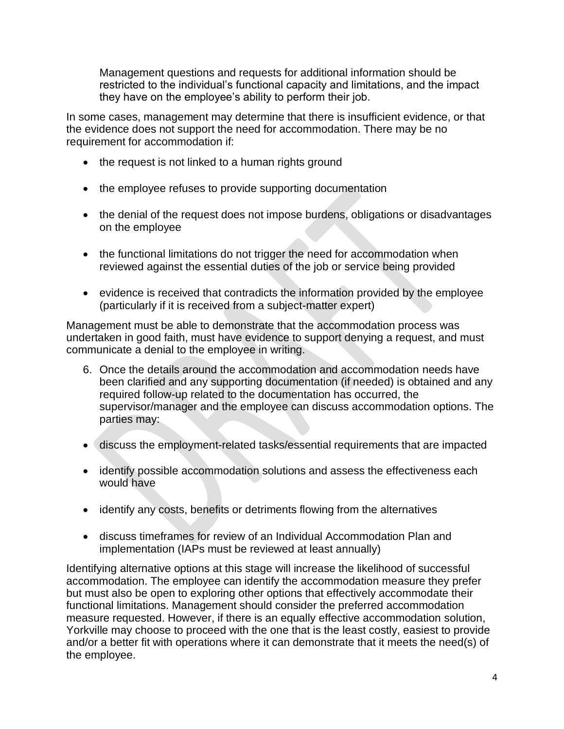Management questions and requests for additional information should be restricted to the individual's functional capacity and limitations, and the impact they have on the employee's ability to perform their job.

In some cases, management may determine that there is insufficient evidence, or that the evidence does not support the need for accommodation. There may be no requirement for accommodation if:

- the request is not linked to a human rights ground
- the employee refuses to provide supporting documentation
- the denial of the request does not impose burdens, obligations or disadvantages on the employee
- the functional limitations do not trigger the need for accommodation when reviewed against the essential duties of the job or service being provided
- evidence is received that contradicts the information provided by the employee (particularly if it is received from a subject-matter expert)

Management must be able to demonstrate that the accommodation process was undertaken in good faith, must have evidence to support denying a request, and must communicate a denial to the employee in writing.

- 6. Once the details around the accommodation and accommodation needs have been clarified and any supporting documentation (if needed) is obtained and any required follow-up related to the documentation has occurred, the supervisor/manager and the employee can discuss accommodation options. The parties may:
- discuss the employment-related tasks/essential requirements that are impacted
- identify possible accommodation solutions and assess the effectiveness each would have
- identify any costs, benefits or detriments flowing from the alternatives
- discuss timeframes for review of an Individual Accommodation Plan and implementation (IAPs must be reviewed at least annually)

Identifying alternative options at this stage will increase the likelihood of successful accommodation. The employee can identify the accommodation measure they prefer but must also be open to exploring other options that effectively accommodate their functional limitations. Management should consider the preferred accommodation measure requested. However, if there is an equally effective accommodation solution, Yorkville may choose to proceed with the one that is the least costly, easiest to provide and/or a better fit with operations where it can demonstrate that it meets the need(s) of the employee.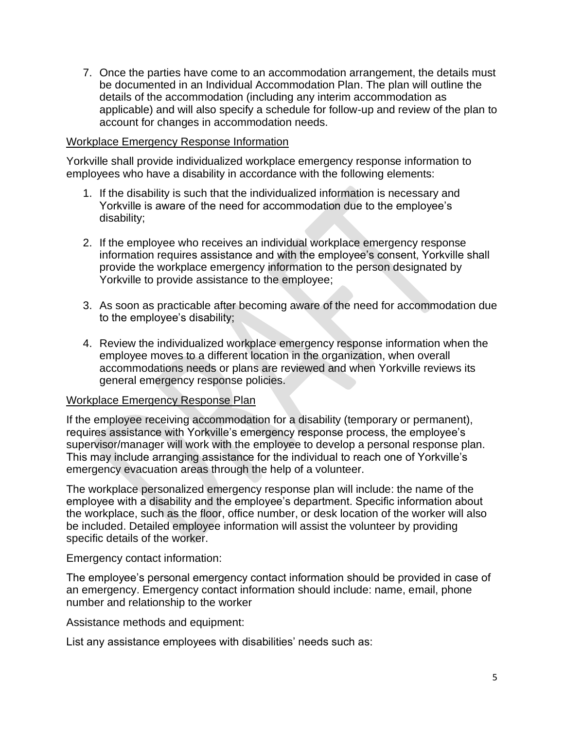7. Once the parties have come to an accommodation arrangement, the details must be documented in an Individual Accommodation Plan. The plan will outline the details of the accommodation (including any interim accommodation as applicable) and will also specify a schedule for follow-up and review of the plan to account for changes in accommodation needs.

#### Workplace Emergency Response Information

Yorkville shall provide individualized workplace emergency response information to employees who have a disability in accordance with the following elements:

- 1. If the disability is such that the individualized information is necessary and Yorkville is aware of the need for accommodation due to the employee's disability;
- 2. If the employee who receives an individual workplace emergency response information requires assistance and with the employee's consent, Yorkville shall provide the workplace emergency information to the person designated by Yorkville to provide assistance to the employee;
- 3. As soon as practicable after becoming aware of the need for accommodation due to the employee's disability;
- 4. Review the individualized workplace emergency response information when the employee moves to a different location in the organization, when overall accommodations needs or plans are reviewed and when Yorkville reviews its general emergency response policies.

#### Workplace Emergency Response Plan

If the employee receiving accommodation for a disability (temporary or permanent), requires assistance with Yorkville's emergency response process, the employee's supervisor/manager will work with the employee to develop a personal response plan. This may include arranging assistance for the individual to reach one of Yorkville's emergency evacuation areas through the help of a volunteer.

The workplace personalized emergency response plan will include: the name of the employee with a disability and the employee's department. Specific information about the workplace, such as the floor, office number, or desk location of the worker will also be included. Detailed employee information will assist the volunteer by providing specific details of the worker.

Emergency contact information:

The employee's personal emergency contact information should be provided in case of an emergency. Emergency contact information should include: name, email, phone number and relationship to the worker

Assistance methods and equipment:

List any assistance employees with disabilities' needs such as: